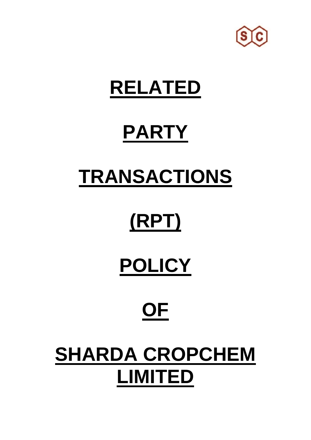

### **RELATED**

# **PARTY**

### **TRANSACTIONS**

# **(RPT)**

## **POLICY**

## **OF**

### **SHARDA CROPCHEM LIMITED**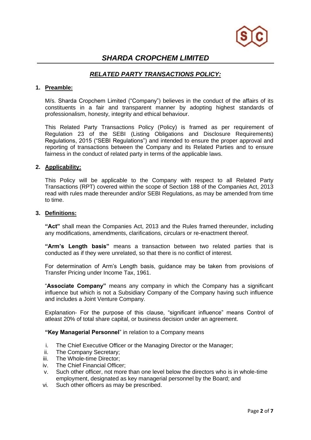

### *SHARDA CROPCHEM LIMITED*

### *RELATED PARTY TRANSACTIONS POLICY:*

#### **1. Preamble:**

M/s. Sharda Cropchem Limited ("Company") believes in the conduct of the affairs of its constituents in a fair and transparent manner by adopting highest standards of professionalism, honesty, integrity and ethical behaviour.

This Related Party Transactions Policy (Policy) is framed as per requirement of Regulation 23 of the SEBI (Listing Obligations and Disclosure Requirements) Regulations, 2015 ("SEBI Regulations") and intended to ensure the proper approval and reporting of transactions between the Company and its Related Parties and to ensure fairness in the conduct of related party in terms of the applicable laws.

#### **2. Applicability:**

This Policy will be applicable to the Company with respect to all Related Party Transactions (RPT) covered within the scope of Section 188 of the Companies Act, 2013 read with rules made thereunder and/or SEBI Regulations, as may be amended from time to time.

#### **3. Definitions:**

**"Act"** shall mean the Companies Act, 2013 and the Rules framed thereunder, including any modifications, amendments, clarifications, circulars or re-enactment thereof.

**"Arm's Length basis"** means a transaction between two related parties that is conducted as if they were unrelated, so that there is no conflict of interest.

For determination of Arm's Length basis, guidance may be taken from provisions of Transfer Pricing under Income Tax, 1961.

"**Associate Company"** means any company in which the Company has a significant influence but which is not a Subsidiary Company of the Company having such influence and includes a Joint Venture Company.

Explanation- For the purpose of this clause, "significant influence" means Control of atleast 20% of total share capital, or business decision under an agreement.

#### **"Key Managerial Personnel**" in relation to a Company means

- i. The Chief Executive Officer or the Managing Director or the Manager;
- ii. The Company Secretary;
- iii. The Whole-time Director;
- iv. The Chief Financial Officer;
- v. Such other officer, not more than one level below the directors who is in whole-time employment, designated as key managerial personnel by the Board; and
- vi. Such other officers as may be prescribed.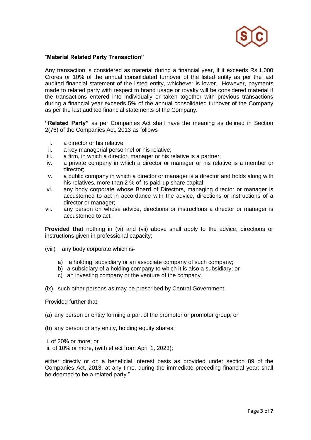

#### "**Material Related Party Transaction"**

Any transaction is considered as material during a financial year, if it exceeds Rs.1,000 Crores or 10% of the annual consolidated turnover of the listed entity as per the last audited financial statement of the listed entity, whichever is lower. However, payments made to related party with respect to brand usage or royalty will be considered material if the transactions entered into individually or taken together with previous transactions during a financial year exceeds 5% of the annual consolidated turnover of the Company as per the last audited financial statements of the Company.

**"Related Party"** as per Companies Act shall have the meaning as defined in Section 2(76) of the Companies Act, 2013 as follows

- i. a director or his relative;
- ii. a key managerial personnel or his relative;
- iii. a firm, in which a director, manager or his relative is a partner;
- iv. a private company in which a director or manager or his relative is a member or director;
- v. a public company in which a director or manager is a director and holds along with his relatives, more than 2 % of its paid-up share capital;
- vi. any body corporate whose Board of Directors, managing director or manager is accustomed to act in accordance with the advice, directions or instructions of a director or manager;
- vii. any person on whose advice, directions or instructions a director or manager is accustomed to act:

**Provided that** nothing in (vi) and (vii) above shall apply to the advice, directions or instructions given in professional capacity;

- (viii) any body corporate which is
	- a) a holding, subsidiary or an associate company of such company;
	- b) a subsidiary of a holding company to which it is also a subsidiary; or
	- c) an investing company or the venture of the company.

(ix) such other persons as may be prescribed by Central Government.

Provided further that:

- (a) any person or entity forming a part of the promoter or promoter group; or
- (b) any person or any entity, holding equity shares:

i. of 20% or more; or ii. of 10% or more, (with effect from April 1, 2023);

either directly or on a beneficial interest basis as provided under section 89 of the Companies Act, 2013, at any time, during the immediate preceding financial year; shall be deemed to be a related party."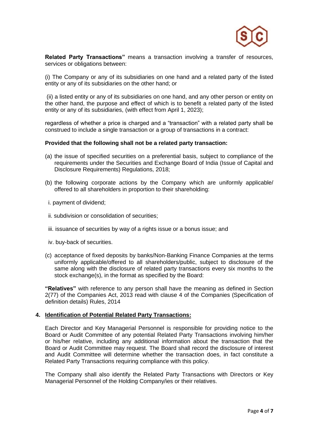

**Related Party Transactions"** means a transaction involving a transfer of resources, services or obligations between:

(i) The Company or any of its subsidiaries on one hand and a related party of the listed entity or any of its subsidiaries on the other hand; or

(ii) a listed entity or any of its subsidiaries on one hand, and any other person or entity on the other hand, the purpose and effect of which is to benefit a related party of the listed entity or any of its subsidiaries, (with effect from April 1, 2023);

regardless of whether a price is charged and a "transaction" with a related party shall be construed to include a single transaction or a group of transactions in a contract:

#### **Provided that the following shall not be a related party transaction:**

- (a) the issue of specified securities on a preferential basis, subject to compliance of the requirements under the Securities and Exchange Board of India (Issue of Capital and Disclosure Requirements) Regulations, 2018;
- (b) the following corporate actions by the Company which are uniformly applicable/ offered to all shareholders in proportion to their shareholding:
- i. payment of dividend;
- ii. subdivision or consolidation of securities;
- iii. issuance of securities by way of a rights issue or a bonus issue; and
- iv. buy-back of securities.
- (c) acceptance of fixed deposits by banks/Non-Banking Finance Companies at the terms uniformly applicable/offered to all shareholders/public, subject to disclosure of the same along with the disclosure of related party transactions every six months to the stock exchange(s), in the format as specified by the Board:

**"Relatives"** with reference to any person shall have the meaning as defined in Section 2(77) of the Companies Act, 2013 read with clause 4 of the Companies (Specification of definition details) Rules, 2014

#### **4. Identification of Potential Related Party Transactions:**

Each Director and Key Managerial Personnel is responsible for providing notice to the Board or Audit Committee of any potential Related Party Transactions involving him/her or his/her relative, including any additional information about the transaction that the Board or Audit Committee may request. The Board shall record the disclosure of interest and Audit Committee will determine whether the transaction does, in fact constitute a Related Party Transactions requiring compliance with this policy.

The Company shall also identify the Related Party Transactions with Directors or Key Managerial Personnel of the Holding Company/ies or their relatives.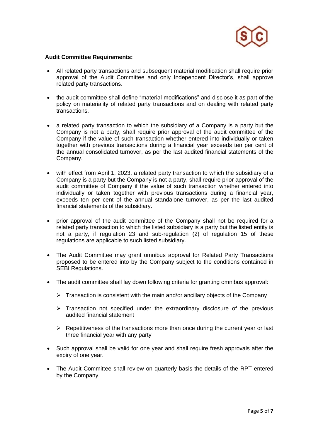

#### **Audit Committee Requirements:**

- All related party transactions and subsequent material modification shall require prior approval of the Audit Committee and only Independent Director's, shall approve related party transactions.
- the audit committee shall define "material modifications" and disclose it as part of the policy on materiality of related party transactions and on dealing with related party transactions.
- a related party transaction to which the subsidiary of a Company is a party but the Company is not a party, shall require prior approval of the audit committee of the Company if the value of such transaction whether entered into individually or taken together with previous transactions during a financial year exceeds ten per cent of the annual consolidated turnover, as per the last audited financial statements of the Company.
- with effect from April 1, 2023, a related party transaction to which the subsidiary of a Company is a party but the Company is not a party, shall require prior approval of the audit committee of Company if the value of such transaction whether entered into individually or taken together with previous transactions during a financial year, exceeds ten per cent of the annual standalone turnover, as per the last audited financial statements of the subsidiary.
- prior approval of the audit committee of the Company shall not be required for a related party transaction to which the listed subsidiary is a party but the listed entity is not a party, if regulation 23 and sub-regulation (2) of regulation 15 of these regulations are applicable to such listed subsidiary.
- The Audit Committee may grant omnibus approval for Related Party Transactions proposed to be entered into by the Company subject to the conditions contained in SEBI Regulations.
- The audit committee shall lay down following criteria for granting omnibus approval:
	- $\triangleright$  Transaction is consistent with the main and/or ancillary objects of the Company
	- $\triangleright$  Transaction not specified under the extraordinary disclosure of the previous audited financial statement
	- $\triangleright$  Repetitiveness of the transactions more than once during the current year or last three financial year with any party
- Such approval shall be valid for one year and shall require fresh approvals after the expiry of one year.
- The Audit Committee shall review on quarterly basis the details of the RPT entered by the Company.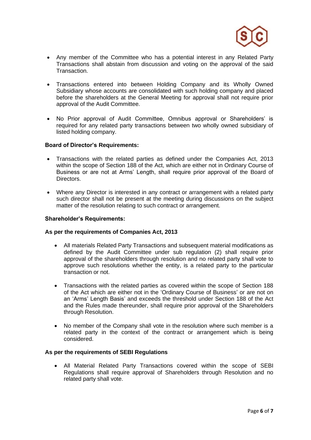

- Any member of the Committee who has a potential interest in any Related Party Transactions shall abstain from discussion and voting on the approval of the said Transaction.
- Transactions entered into between Holding Company and its Wholly Owned Subsidiary whose accounts are consolidated with such holding company and placed before the shareholders at the General Meeting for approval shall not require prior approval of the Audit Committee.
- No Prior approval of Audit Committee, Omnibus approval or Shareholders' is required for any related party transactions between two wholly owned subsidiary of listed holding company.

#### **Board of Director's Requirements:**

- Transactions with the related parties as defined under the Companies Act, 2013 within the scope of Section 188 of the Act, which are either not in Ordinary Course of Business or are not at Arms' Length, shall require prior approval of the Board of Directors.
- Where any Director is interested in any contract or arrangement with a related party such director shall not be present at the meeting during discussions on the subject matter of the resolution relating to such contract or arrangement.

#### **Shareholder's Requirements:**

#### **As per the requirements of Companies Act, 2013**

- All materials Related Party Transactions and subsequent material modifications as defined by the Audit Committee under sub regulation (2) shall require prior approval of the shareholders through resolution and no related party shall vote to approve such resolutions whether the entity, is a related party to the particular transaction or not.
- Transactions with the related parties as covered within the scope of Section 188 of the Act which are either not in the 'Ordinary Course of Business' or are not on an 'Arms' Length Basis' and exceeds the threshold under Section 188 of the Act and the Rules made thereunder, shall require prior approval of the Shareholders through Resolution.
- No member of the Company shall vote in the resolution where such member is a related party in the context of the contract or arrangement which is being considered.

#### **As per the requirements of SEBI Regulations**

• All Material Related Party Transactions covered within the scope of SEBI Regulations shall require approval of Shareholders through Resolution and no related party shall vote.